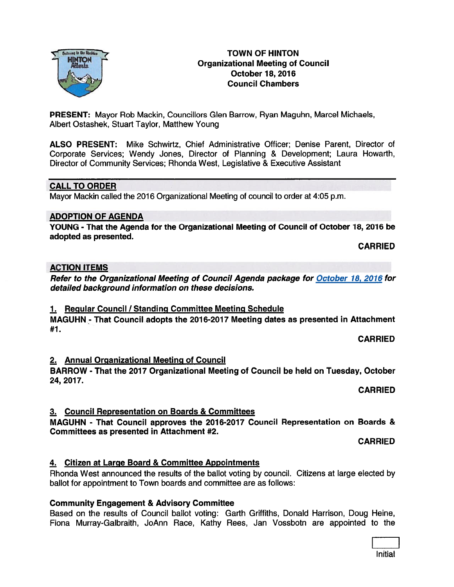## TOWN OF HINTON Organizational Meeting of Council October 18, 2016 Council Chambers

PRESENT: Mayor Rob Mackin, Councillors Glen Barrow, Ryan Maguhn, Marcel Michaels, Albert Ostashek, Stuart Taylor, Matthew Young

ALSO PRESENT: Mike Schwirtz, Chief Administrative Officer; Denise Parent, Director of Corporate Services; Wendy Jones, Director of Planning & Development; Laura Howarth, Director of Community Services; Rhonda West, Legislative & Executive Assistant

# CALL TO ORDER

Mayor Mackin called the 2016 Organizational Meeting of council to order at 4:05 p.m.

### ADOPTION OF AGENDA

YOUNG - That the Agenda for the Organizational Meeting of Council of October 18, 2016 be adopted as presented.

CARRIED

#### ACTION ITEMS

Refer to the Organizational Meeting of Council Agenda package for October 18, 2016 for detailed background information on these decisions.

#### 1. Regular Council / Standing Committee Meeting Schedule

MAGUHN - That Council adopts the 2016-2017 Meeting dates as presented in Attachment #1.

CARRIED

# 2. Annual Organizational Meeting of Council

BARROW - That the 2017 Organizational Meeting of Council be held on Tuesday, October 24, 2017.

CARRIED

# 3. Council Representation on Boards & Committees

MAGUHN - That Council approves the 2016-2017 Council Representation on Boards & Committees as presented in Attachment #2.

CARRIED

# 4. Citizen at Large Board & Committee Appointments

# Community Engagement & Advisory Committee

ballot for appointment to Town boards and committee are as follows:

Based on the results of Council ballot voting: Garth Griffiths, Donald Harrison, Doug Heine, Fiona Murray-Galbraith, JoAnn Race, Kathy Rees, Jan Vossbotn are appointed to the

Rhonda West announced the results of the ballot voting by council. Citizens at large elected by